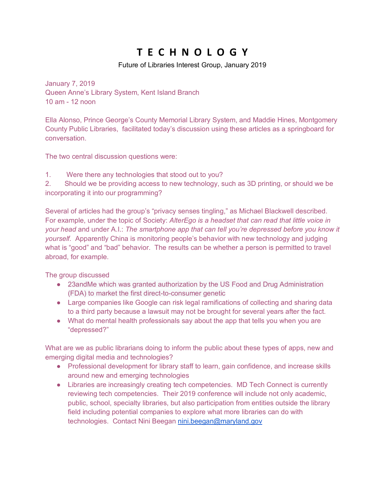# **T E C H N O L O G Y**

### Future of Libraries Interest Group, January 2019

January 7, 2019 Queen Anne's Library System, Kent Island Branch 10 am - 12 noon

Ella Alonso, Prince George's County Memorial Library System, and Maddie Hines, Montgomery County Public Libraries, facilitated today's discussion using these articles as a springboard for conversation.

The two central discussion questions were:

1. Were there any technologies that stood out to you?

2. Should we be providing access to new technology, such as 3D printing, or should we be incorporating it into our programming?

Several of articles had the group's "privacy senses tingling," as Michael Blackwell described. For example, under the topic of Society: *AlterEgo is a headset that can read that little voice in your head* and under A.I.: *The smartphone app that can tell you're depressed before you know it yourself.* Apparently China is monitoring people's behavior with new technology and judging what is "good" and "bad" behavior. The results can be whether a person is permitted to travel abroad, for example.

The group discussed

- 23andMe which was granted authorization by the US Food and Drug Administration (FDA) to market the first direct-to-consumer genetic
- Large companies like Google can risk legal ramifications of collecting and sharing data to a third party because a lawsuit may not be brought for several years after the fact.
- What do mental health professionals say about the app that tells you when you are "depressed?"

What are we as public librarians doing to inform the public about these types of apps, new and emerging digital media and technologies?

- Professional development for library staff to learn, gain confidence, and increase skills around new and emerging technologies
- Libraries are increasingly creating tech competencies. MD Tech Connect is currently reviewing tech competencies. Their 2019 conference will include not only academic, public, school, specialty libraries, but also participation from entities outside the library field including potential companies to explore what more libraries can do with technologies. Contact Nini Beegan nini.beegan@maryland.gov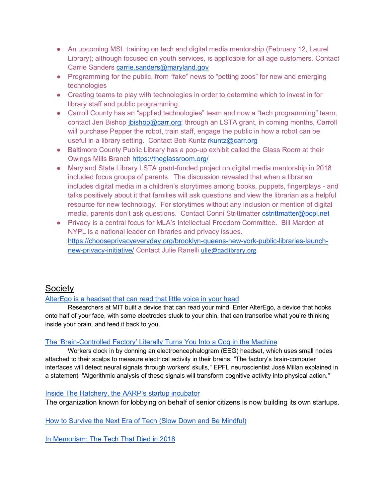- An upcoming MSL training on tech and digital media mentorship (February 12, Laurel Library); although focused on youth services, is applicable for all age customers. Contact Carrie Sanders carrie.sanders@maryland.gov
- Programming for the public, from "fake" news to "petting zoos" for new and emerging technologies
- Creating teams to play with technologies in order to determine which to invest in for library staff and public programming.
- Carroll County has an "applied technologies" team and now a "tech programming" team; contact Jen Bishop jbishop@carr.org; through an LSTA grant, in coming months, Carroll will purchase Pepper the robot, train staff, engage the public in how a robot can be useful in a library setting. Contact Bob Kuntz rkuntz@carr.org
- Baltimore County Public Library has a pop-up exhibit called the Glass Room at their Owings Mills Branch https://theglassroom.org/
- Maryland State Library LSTA grant-funded project on digital media mentorship in 2018 included focus groups of parents. The discussion revealed that when a librarian includes digital media in a children's storytimes among books, puppets, fingerplays - and talks positively about it that families will ask questions and view the librarian as a helpful resource for new technology. For storytimes without any inclusion or mention of digital media, parents don't ask questions. Contact Conni Strittmatter cstrittmatter@bcpl.net
- Privacy is a central focus for MLA's Intellectual Freedom Committee. Bill Marden at NYPL is a national leader on libraries and privacy issues. https://chooseprivacyeveryday.org/brooklyn-queens-new-york-public-libraries-launchnew-privacy-initiative/ Contact Julie Ranelli ulie@qaclibrary.org

## Society

## AlterEgo is a headset that can read that little voice in your head

Researchers at MIT built a device that can read your mind. Enter AlterEgo, a device that hooks onto half of your face, with some electrodes stuck to your chin, that can transcribe what you're thinking inside your brain, and feed it back to you.

#### The 'Brain-Controlled Factory' Literally Turns You Into a Cog in the Machine

Workers clock in by donning an electroencephalogram (EEG) headset, which uses small nodes attached to their scalps to measure electrical activity in their brains. "The factory's brain-computer interfaces will detect neural signals through workers' skulls," EPFL neuroscientist José Millan explained in a statement. "Algorithmic analysis of these signals will transform cognitive activity into physical action."

#### Inside The Hatchery, the AARP's startup incubator

The organization known for lobbying on behalf of senior citizens is now building its own startups.

How to Survive the Next Era of Tech (Slow Down and Be Mindful)

In Memoriam: The Tech That Died in 2018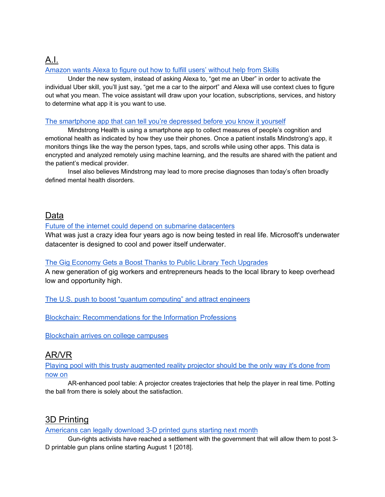## A.I. Amazon wants Alexa to figure out how to fulfill users' without help from Skills

Under the new system, instead of asking Alexa to, "get me an Uber" in order to activate the individual Uber skill, you'll just say, "get me a car to the airport" and Alexa will use context clues to figure out what you mean. The voice assistant will draw upon your location, subscriptions, services, and history to determine what app it is you want to use.

## The smartphone app that can tell you're depressed before you know it yourself

Mindstrong Health is using a smartphone app to collect measures of people's cognition and emotional health as indicated by how they use their phones. Once a patient installs Mindstrong's app, it monitors things like the way the person types, taps, and scrolls while using other apps. This data is encrypted and analyzed remotely using machine learning, and the results are shared with the patient and the patient's medical provider.

Insel also believes Mindstrong may lead to more precise diagnoses than today's often broadly defined mental health disorders.

## Data

### Future of the internet could depend on submarine datacenters

What was just a crazy idea four years ago is now being tested in real life. Microsoft's underwater datacenter is designed to cool and power itself underwater.

#### The Gig Economy Gets a Boost Thanks to Public Library Tech Upgrades

A new generation of gig workers and entrepreneurs heads to the local library to keep overhead low and opportunity high.

The U.S. push to boost "quantum computing" and attract engineers

Blockchain: Recommendations for the Information Professions

Blockchain arrives on college campuses

## AR/VR

Playing pool with this trusty augmented reality projector should be the only way it's done from now on

AR-enhanced pool table: A projector creates trajectories that help the player in real time. Potting the ball from there is solely about the satisfaction.

# 3D Printing

Americans can legally download 3-D printed guns starting next month

Gun-rights activists have reached a settlement with the government that will allow them to post 3- D printable gun plans online starting August 1 [2018].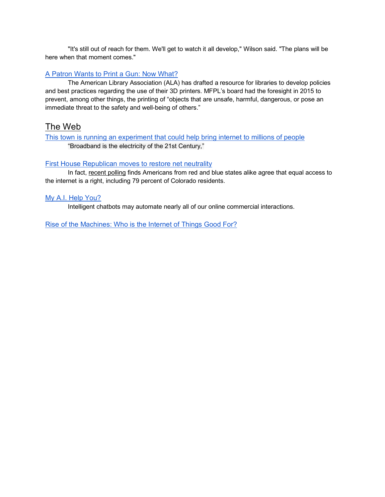"It's still out of reach for them. We'll get to watch it all develop," Wilson said. "The plans will be here when that moment comes."

#### A Patron Wants to Print a Gun: Now What?

The American Library Association (ALA) has drafted a resource for libraries to develop policies and best practices regarding the use of their 3D printers. MFPL's board had the foresight in 2015 to prevent, among other things, the printing of "objects that are unsafe, harmful, dangerous, or pose an immediate threat to the safety and well-being of others."

## The Web

This town is running an experiment that could help bring internet to millions of people "Broadband is the electricity of the 21st Century,"

#### First House Republican moves to restore net neutrality

In fact, recent polling finds Americans from red and blue states alike agree that equal access to the internet is a right, including 79 percent of Colorado residents.

#### My A.I. Help You?

Intelligent chatbots may automate nearly all of our online commercial interactions.

Rise of the Machines: Who is the Internet of Things Good For?